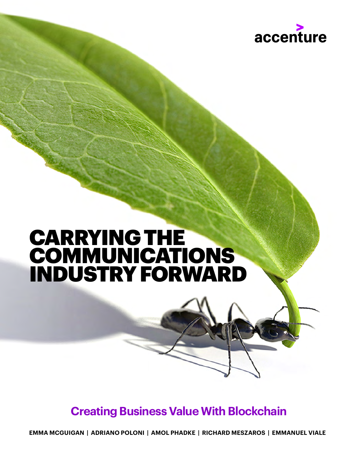

### CARRYING THE **COMMUNICATIONS** INDUSTRY FORWARD

### **Creating Business Value With Blockchain**

**EMMA MCGUIGAN | ADRIANO POLONI | AMOL PHADKE | RICHARD MESZAROS | EMMANUEL VIALE**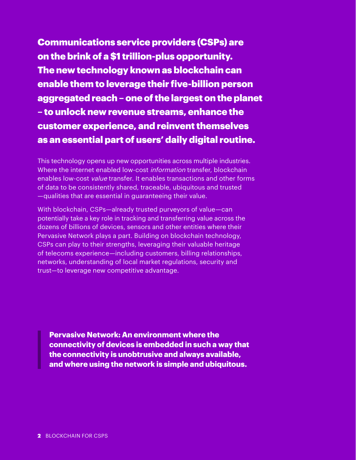Communications service providers (CSPs) are on the brink of a \$1 trillion-plus opportunity. The new technology known as blockchain can enable them to leverage their five-billion person aggregated reach – one of the largest on the planet – to unlock new revenue streams, enhance the customer experience, and reinvent themselves as an essential part of users' daily digital routine.

This technology opens up new opportunities across multiple industries. Where the internet enabled low-cost *information* transfer, blockchain enables low-cost value transfer. It enables transactions and other forms of data to be consistently shared, traceable, ubiquitous and trusted —qualities that are essential in guaranteeing their value.

With blockchain, CSPs—already trusted purveyors of value—can potentially take a key role in tracking and transferring value across the dozens of billions of devices, sensors and other entities where their Pervasive Network plays a part. Building on blockchain technology, CSPs can play to their strengths, leveraging their valuable heritage of telecoms experience—including customers, billing relationships, networks, understanding of local market regulations, security and trust—to leverage new competitive advantage.

**Pervasive Network: An environment where the connectivity of devices is embedded in such a way that the connectivity is unobtrusive and always available, and where using the network is simple and ubiquitous.**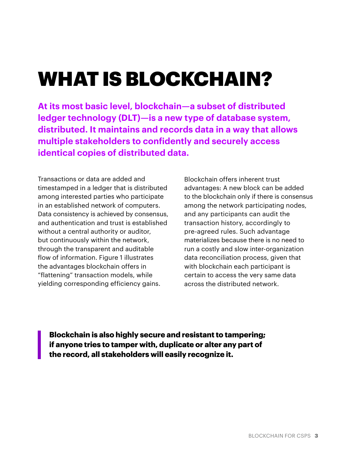# WHAT IS BLOCKCHAIN?

**At its most basic level, blockchain—a subset of distributed ledger technology (DLT)—is a new type of database system, distributed. It maintains and records data in a way that allows multiple stakeholders to confidently and securely access identical copies of distributed data.**

Transactions or data are added and timestamped in a ledger that is distributed among interested parties who participate in an established network of computers. Data consistency is achieved by consensus, and authentication and trust is established without a central authority or auditor, but continuously within the network, through the transparent and auditable flow of information. Figure 1 illustrates the advantages blockchain offers in "flattening" transaction models, while yielding corresponding efficiency gains.

Blockchain offers inherent trust advantages: A new block can be added to the blockchain only if there is consensus among the network participating nodes, and any participants can audit the transaction history, accordingly to pre-agreed rules. Such advantage materializes because there is no need to run a costly and slow inter-organization data reconciliation process, given that with blockchain each participant is certain to access the very same data across the distributed network.

**Blockchain is also highly secure and resistant to tampering; if anyone tries to tamper with, duplicate or alter any part of the record, all stakeholders will easily recognize it.**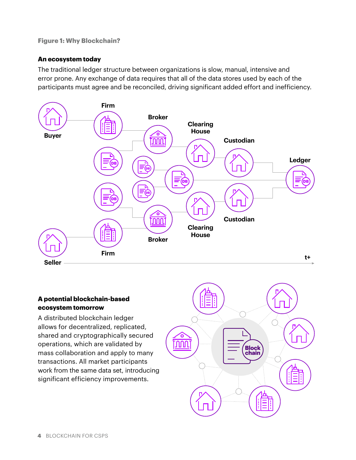#### **Figure 1: Why Blockchain?**

#### **An ecosystem today**

The traditional ledger structure between organizations is slow, manual, intensive and error prone. Any exchange of data requires that all of the data stores used by each of the participants must agree and be reconciled, driving significant added effort and inefficiency.



#### **A potential blockchain-based ecosystem tomorrow**

A distributed blockchain ledger allows for decentralized, replicated, shared and cryptographically secured operations, which are validated by mass collaboration and apply to many transactions. All market participants work from the same data set, introducing significant efficiency improvements.

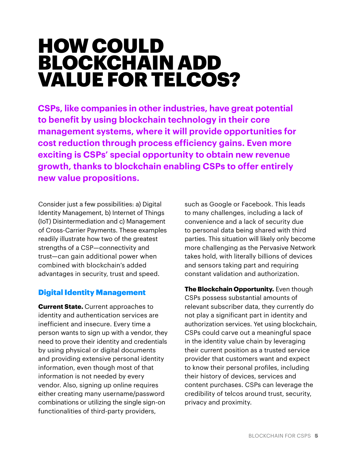### HOW COULD BLOCKCHAIN ADD VALUE FOR TELCOS?

**CSPs, like companies in other industries, have great potential to benefit by using blockchain technology in their core management systems, where it will provide opportunities for cost reduction through process efficiency gains. Even more exciting is CSPs' special opportunity to obtain new revenue growth, thanks to blockchain enabling CSPs to offer entirely new value propositions.** 

Consider just a few possibilities: a) Digital Identity Management, b) Internet of Things (IoT) Disintermediation and c) Management of Cross-Carrier Payments. These examples readily illustrate how two of the greatest strengths of a CSP—connectivity and trust—can gain additional power when combined with blockchain's added advantages in security, trust and speed.

#### Digital Identity Management

**Current State.** Current approaches to identity and authentication services are inefficient and insecure. Every time a person wants to sign up with a vendor, they need to prove their identity and credentials by using physical or digital documents and providing extensive personal identity information, even though most of that information is not needed by every vendor. Also, signing up online requires either creating many username/password combinations or utilizing the single sign-on functionalities of third-party providers,

such as Google or Facebook. This leads to many challenges, including a lack of convenience and a lack of security due to personal data being shared with third parties. This situation will likely only become more challenging as the Pervasive Network takes hold, with literally billions of devices and sensors taking part and requiring constant validation and authorization.

**The Blockchain Opportunity.** Even though CSPs possess substantial amounts of relevant subscriber data, they currently do not play a significant part in identity and authorization services. Yet using blockchain, CSPs could carve out a meaningful space in the identity value chain by leveraging their current position as a trusted service provider that customers want and expect to know their personal profiles, including their history of devices, services and content purchases. CSPs can leverage the credibility of telcos around trust, security, privacy and proximity.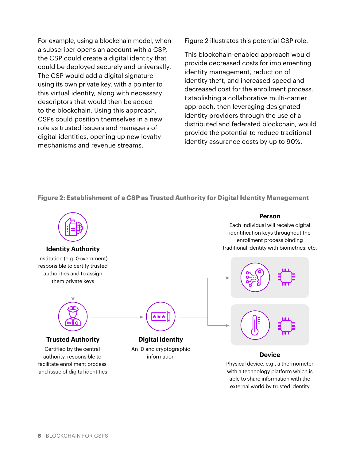For example, using a blockchain model, when a subscriber opens an account with a CSP, the CSP could create a digital identity that could be deployed securely and universally. The CSP would add a digital signature using its own private key, with a pointer to this virtual identity, along with necessary descriptors that would then be added to the blockchain. Using this approach, CSPs could position themselves in a new role as trusted issuers and managers of digital identities, opening up new loyalty mechanisms and revenue streams.

Figure 2 illustrates this potential CSP role.

This blockchain-enabled approach would provide decreased costs for implementing identity management, reduction of identity theft, and increased speed and decreased cost for the enrollment process. Establishing a collaborative multi-carrier approach, then leveraging designated identity providers through the use of a distributed and federated blockchain, would provide the potential to reduce traditional identity assurance costs by up to 90%.

#### **Figure 2: Establishment of a CSP as Trusted Authority for Digital Identity Management**

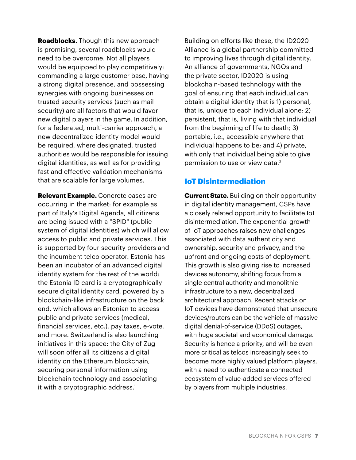**Roadblocks.** Though this new approach is promising, several roadblocks would need to be overcome. Not all players would be equipped to play competitively: commanding a large customer base, having a strong digital presence, and possessing synergies with ongoing businesses on trusted security services (such as mail security) are all factors that would favor new digital players in the game. In addition, for a federated, multi-carrier approach, a new decentralized identity model would be required, where designated, trusted authorities would be responsible for issuing digital identities, as well as for providing fast and effective validation mechanisms that are scalable for large volumes.

**Relevant Example.** Concrete cases are occurring in the market: for example as part of Italy's Digital Agenda, all citizens are being issued with a "SPID" (public system of digital identities) which will allow access to public and private services. This is supported by four security providers and the incumbent telco operator. Estonia has been an incubator of an advanced digital identity system for the rest of the world: the Estonia ID card is a cryptographically secure digital identity card, powered by a blockchain-like infrastructure on the back end, which allows an Estonian to access public and private services (medical, financial services, etc.), pay taxes, e-vote, and more. Switzerland is also launching initiatives in this space: the City of Zug will soon offer all its citizens a digital identity on the Ethereum blockchain, securing personal information using blockchain technology and associating it with a cryptographic address.<sup>1</sup>

Building on efforts like these, the ID2020 Alliance is a global partnership committed to improving lives through digital identity. An alliance of governments, NGOs and the private sector, ID2020 is using blockchain-based technology with the goal of ensuring that each individual can obtain a digital identity that is 1) personal, that is, unique to each individual alone; 2) persistent, that is, living with that individual from the beginning of life to death; 3) portable, i.e., accessible anywhere that individual happens to be; and 4) private, with only that individual being able to give permission to use or view data.<sup>2</sup>

#### IoT Disintermediation

**Current State.** Building on their opportunity in digital identity management, CSPs have a closely related opportunity to facilitate IoT disintermediation. The exponential growth of IoT approaches raises new challenges associated with data authenticity and ownership, security and privacy, and the upfront and ongoing costs of deployment. This growth is also giving rise to increased devices autonomy, shifting focus from a single central authority and monolithic infrastructure to a new, decentralized architectural approach. Recent attacks on IoT devices have demonstrated that unsecure devices/routers can be the vehicle of massive digital denial-of-service (DDoS) outages, with huge societal and economical damage. Security is hence a priority, and will be even more critical as telcos increasingly seek to become more highly valued platform players, with a need to authenticate a connected ecosystem of value-added services offered by players from multiple industries.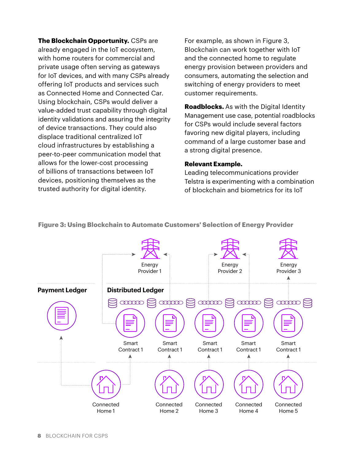**The Blockchain Opportunity.** CSPs are already engaged in the IoT ecosystem, with home routers for commercial and private usage often serving as gateways for IoT devices, and with many CSPs already offering IoT products and services such as Connected Home and Connected Car. Using blockchain, CSPs would deliver a value-added trust capability through digital identity validations and assuring the integrity of device transactions. They could also displace traditional centralized IoT cloud infrastructures by establishing a peer-to-peer communication model that allows for the lower-cost processing of billions of transactions between IoT devices, positioning themselves as the trusted authority for digital identity.

For example, as shown in Figure 3, Blockchain can work together with IoT and the connected home to regulate energy provision between providers and consumers, automating the selection and switching of energy providers to meet customer requirements.

**Roadblocks.** As with the Digital Identity Management use case, potential roadblocks for CSPs would include several factors favoring new digital players, including command of a large customer base and a strong digital presence.

#### **Relevant Example.**

Leading telecommunications provider Telstra is experimenting with a combination of blockchain and biometrics for its IoT



**Figure 3: Using Blockchain to Automate Customers' Selection of Energy Provider**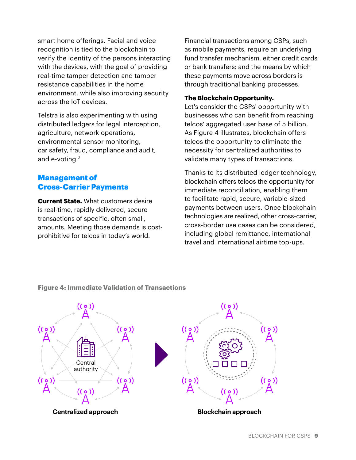smart home offerings. Facial and voice recognition is tied to the blockchain to verify the identity of the persons interacting with the devices, with the goal of providing real-time tamper detection and tamper resistance capabilities in the home environment, while also improving security across the IoT devices.

Telstra is also experimenting with using distributed ledgers for legal interception, agriculture, network operations, environmental sensor monitoring, car safety, fraud, compliance and audit, and e-voting.3

#### Management of Cross-Carrier Payments

**Current State.** What customers desire is real-time, rapidly delivered, secure transactions of specific, often small, amounts. Meeting those demands is costprohibitive for telcos in today's world.

Financial transactions among CSPs, such as mobile payments, require an underlying fund transfer mechanism, either credit cards or bank transfers; and the means by which these payments move across borders is through traditional banking processes.

#### **The Blockchain Opportunity.**

Let's consider the CSPs' opportunity with businesses who can benefit from reaching telcos' aggregated user base of 5 billion. As Figure 4 illustrates, blockchain offers telcos the opportunity to eliminate the necessity for centralized authorities to validate many types of transactions.

Thanks to its distributed ledger technology, blockchain offers telcos the opportunity for immediate reconciliation, enabling them to facilitate rapid, secure, variable-sized payments between users. Once blockchain technologies are realized, other cross-carrier, cross-border use cases can be considered, including global remittance, international travel and international airtime top-ups.



#### **Figure 4: Immediate Validation of Transactions**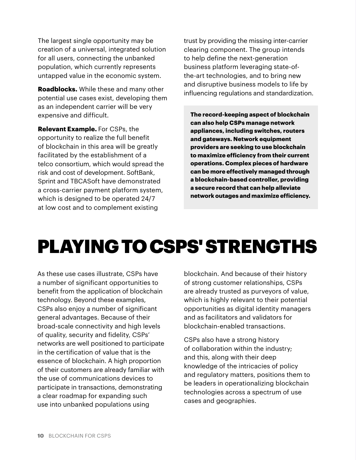The largest single opportunity may be creation of a universal, integrated solution for all users, connecting the unbanked population, which currently represents untapped value in the economic system.

**Roadblocks.** While these and many other potential use cases exist, developing them as an independent carrier will be very expensive and difficult.

**Relevant Example.** For CSPs, the opportunity to realize the full benefit of blockchain in this area will be greatly facilitated by the establishment of a telco consortium, which would spread the risk and cost of development. SoftBank, Sprint and TBCASoft have demonstrated a cross-carrier payment platform system, which is designed to be operated 24/7 at low cost and to complement existing

trust by providing the missing inter-carrier clearing component. The group intends to help define the next-generation business platform leveraging state-ofthe-art technologies, and to bring new and disruptive business models to life by influencing regulations and standardization.

**The record-keeping aspect of blockchain can also help CSPs manage network appliances, including switches, routers and gateways. Network equipment providers are seeking to use blockchain to maximize efficiency from their current operations. Complex pieces of hardware can be more effectively managed through a blockchain-based controller, providing a secure record that can help alleviate network outages and maximize efficiency.**

## PLAYING TO CSPS' STRENGTHS

As these use cases illustrate, CSPs have a number of significant opportunities to benefit from the application of blockchain technology. Beyond these examples, CSPs also enjoy a number of significant general advantages. Because of their broad-scale connectivity and high levels of quality, security and fidelity, CSPs' networks are well positioned to participate in the certification of value that is the essence of blockchain. A high proportion of their customers are already familiar with the use of communications devices to participate in transactions, demonstrating a clear roadmap for expanding such use into unbanked populations using

blockchain. And because of their history of strong customer relationships, CSPs are already trusted as purveyors of value, which is highly relevant to their potential opportunities as digital identity managers and as facilitators and validators for blockchain-enabled transactions.

CSPs also have a strong history of collaboration within the industry; and this, along with their deep knowledge of the intricacies of policy and regulatory matters, positions them to be leaders in operationalizing blockchain technologies across a spectrum of use cases and geographies.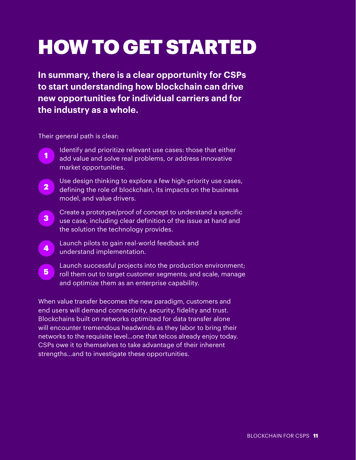# HOW TO GET STARTED

**In summary, there is a clear opportunity for CSPs to start understanding how blockchain can drive new opportunities for individual carriers and for the industry as a whole.** 

Their general path is clear:

- Identify and prioritize relevant use cases: those that either add value and solve real problems, or address innovative market opportunities. 1
- Use design thinking to explore a few high-priority use cases, defining the role of blockchain, its impacts on the business model, and value drivers. 2
- Create a prototype/proof of concept to understand a specific use case, including clear definition of the issue at hand and the solution the technology provides. 3
- Launch pilots to gain real-world feedback and understand implementation. 4
- Launch successful projects into the production environment; roll them out to target customer segments; and scale, manage and optimize them as an enterprise capability. 5

When value transfer becomes the new paradigm, customers and end users will demand connectivity, security, fidelity and trust. Blockchains built on networks optimized for data transfer alone will encounter tremendous headwinds as they labor to bring their networks to the requisite level…one that telcos already enjoy today. CSPs owe it to themselves to take advantage of their inherent strengths…and to investigate these opportunities.